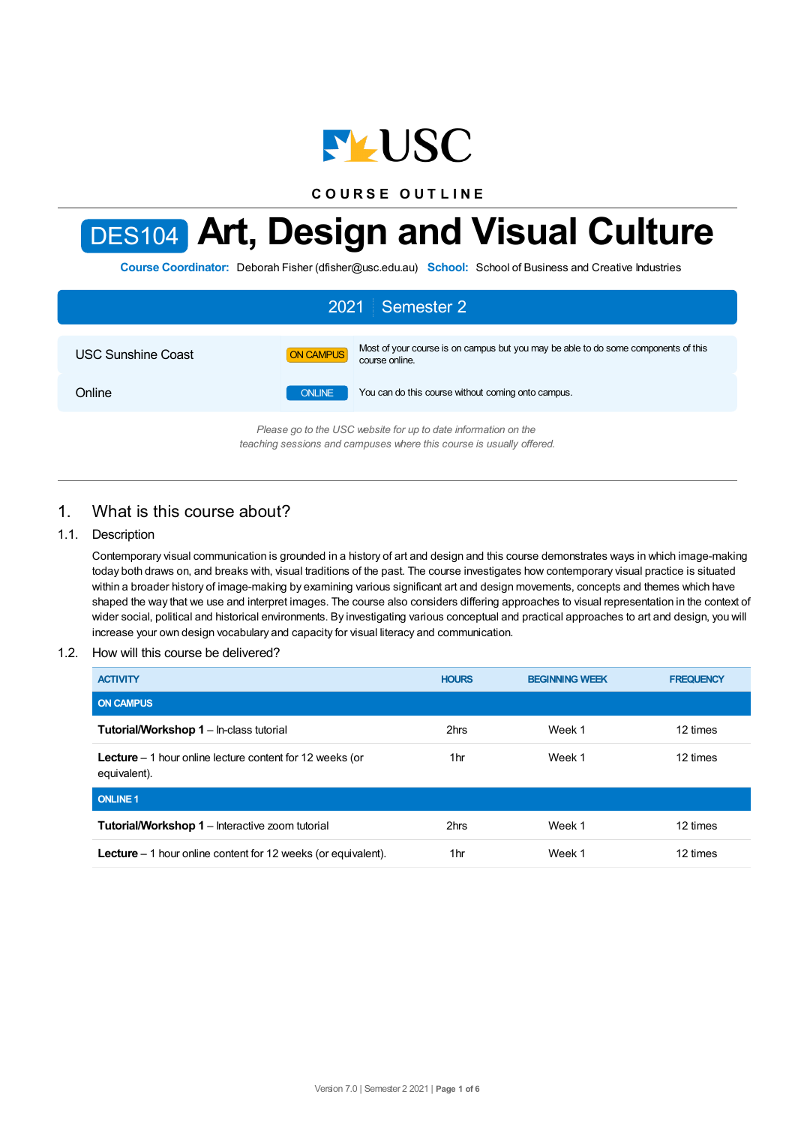

**C O U R S E O U T L I N E**

# DES104 **Art, Design and Visual Culture**

**Course Coordinator:** Deborah Fisher (dfisher@usc.edu.au) **School:** School of Business and Creative Industries

| 2021 Semester 2                                                |                  |                                                                                                      |  |  |
|----------------------------------------------------------------|------------------|------------------------------------------------------------------------------------------------------|--|--|
| <b>USC Sunshine Coast</b>                                      | <b>ON CAMPUS</b> | Most of your course is on campus but you may be able to do some components of this<br>course online. |  |  |
| Online                                                         | <b>ONLINE</b>    | You can do this course without coming onto campus.                                                   |  |  |
| Please go to the USC website for up to date information on the |                  |                                                                                                      |  |  |

*Please go to the USC website for up to date information on the teaching sessions and campuses where this course is usually offered.*

# 1. What is this course about?

#### 1.1. Description

Contemporary visual communication is grounded in a history of art and design and this course demonstrates ways in which image-making today both draws on, and breaks with, visual traditions of the past. The course investigates how contemporary visual practice is situated within a broader history of image-making by examining various significant art and design movements, concepts and themes which have shaped the way that we use and interpret images. The course also considers differing approaches to visual representation in the context of wider social, political and historical environments. By investigating various conceptual and practical approaches to art and design, you will increase your own design vocabulary and capacity for visual literacy and communication.

#### 1.2. How will this course be delivered?

| <b>ACTIVITY</b>                                                                  | <b>HOURS</b> | <b>BEGINNING WEEK</b> | <b>FREQUENCY</b> |
|----------------------------------------------------------------------------------|--------------|-----------------------|------------------|
| <b>ON CAMPUS</b>                                                                 |              |                       |                  |
| Tutorial/Workshop 1 - In-class tutorial                                          | 2hrs         | Week 1                | 12 times         |
| <b>Lecture</b> $-1$ hour online lecture content for 12 weeks (or<br>equivalent). | 1hr          | Week 1                | 12 times         |
| <b>ONLINE 1</b>                                                                  |              |                       |                  |
| <b>Tutorial/Workshop 1 - Interactive zoom tutorial</b>                           | 2hrs         | Week 1                | 12 times         |
| <b>Lecture</b> $-1$ hour online content for 12 weeks (or equivalent).            | 1hr          | Week 1                | 12 times         |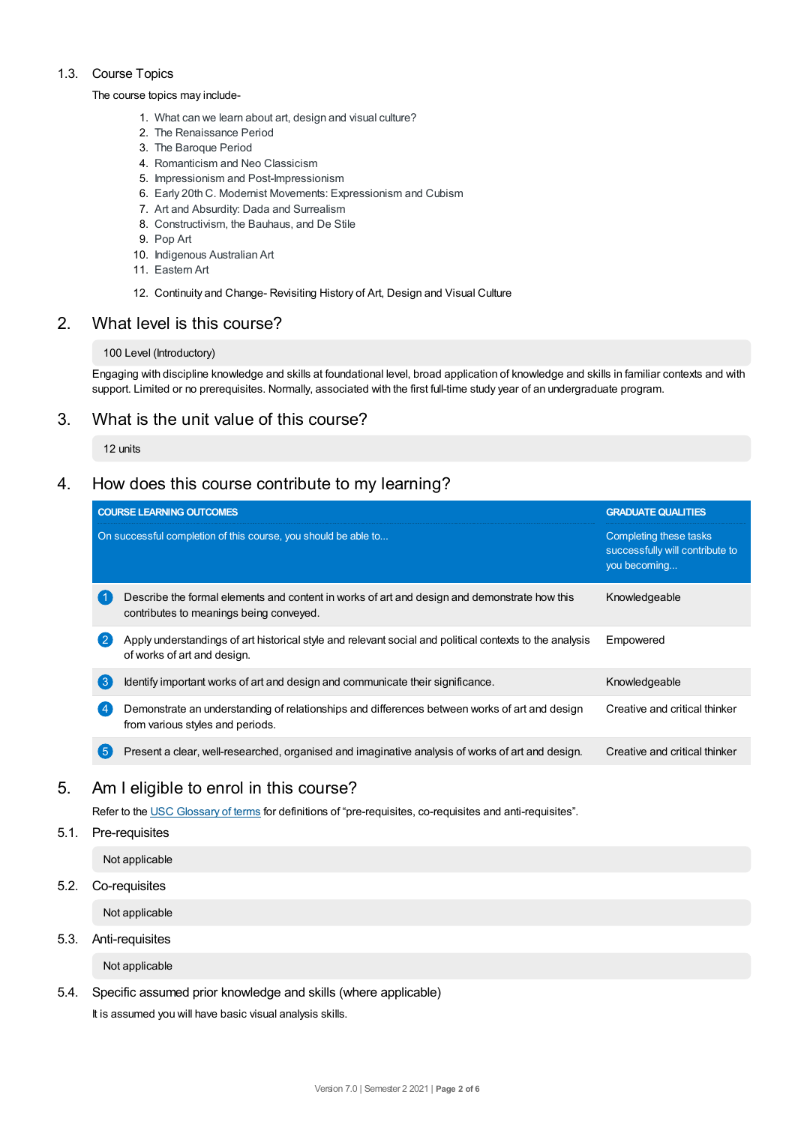#### 1.3. Course Topics

#### The course topics may include-

- 1. What can we learn about art, design and visual culture?
- 2. The Renaissance Period
- 3. The Baroque Period
- 4. Romanticism and Neo Classicism
- 5. Impressionism and Post-Impressionism
- 6. Early 20th C. Modernist Movements: Expressionism and Cubism
- 7. Art and Absurdity: Dada and Surrealism
- 8. Constructivism, the Bauhaus, and De Stile
- 9. Pop Art
- 10. Indigenous Australian Art
- 11. Eastern Art
- 12. Continuity and Change- Revisiting History of Art, Design and Visual Culture

### 2. What level is this course?

#### 100 Level (Introductory)

Engaging with discipline knowledge and skills at foundational level, broad application of knowledge and skills in familiar contexts and with support. Limited or no prerequisites. Normally, associated with the first full-time study year of an undergraduate program.

# 3. What is the unit value of this course?

#### 12 units

# 4. How does this course contribute to my learning?

|                | <b>COURSE LEARNING OUTCOMES</b>                                                                                                         | <b>GRADUATE QUALITIES</b>                                                 |
|----------------|-----------------------------------------------------------------------------------------------------------------------------------------|---------------------------------------------------------------------------|
|                | On successful completion of this course, you should be able to                                                                          | Completing these tasks<br>successfully will contribute to<br>you becoming |
|                | Describe the formal elements and content in works of art and design and demonstrate how this<br>contributes to meanings being conveyed. | Knowledgeable                                                             |
| $\overline{2}$ | Apply understandings of art historical style and relevant social and political contexts to the analysis<br>of works of art and design.  | Empowered                                                                 |
| 3              | Identify important works of art and design and communicate their significance.                                                          | Knowledgeable                                                             |
| $\overline{4}$ | Demonstrate an understanding of relationships and differences between works of art and design<br>from various styles and periods.       | Creative and critical thinker                                             |
| (5)            | Present a clear, well-researched, organised and imaginative analysis of works of art and design.                                        | Creative and critical thinker                                             |

# 5. Am Ieligible to enrol in this course?

Refer to the USC [Glossary](https://www.usc.edu.au/about/policies-and-procedures/glossary-of-terms-for-policy-and-procedures) of terms for definitions of "pre-requisites, co-requisites and anti-requisites".

#### 5.1. Pre-requisites

Not applicable

5.2. Co-requisites

Not applicable

#### 5.3. Anti-requisites

Not applicable

#### 5.4. Specific assumed prior knowledge and skills (where applicable)

It is assumed you will have basic visual analysis skills.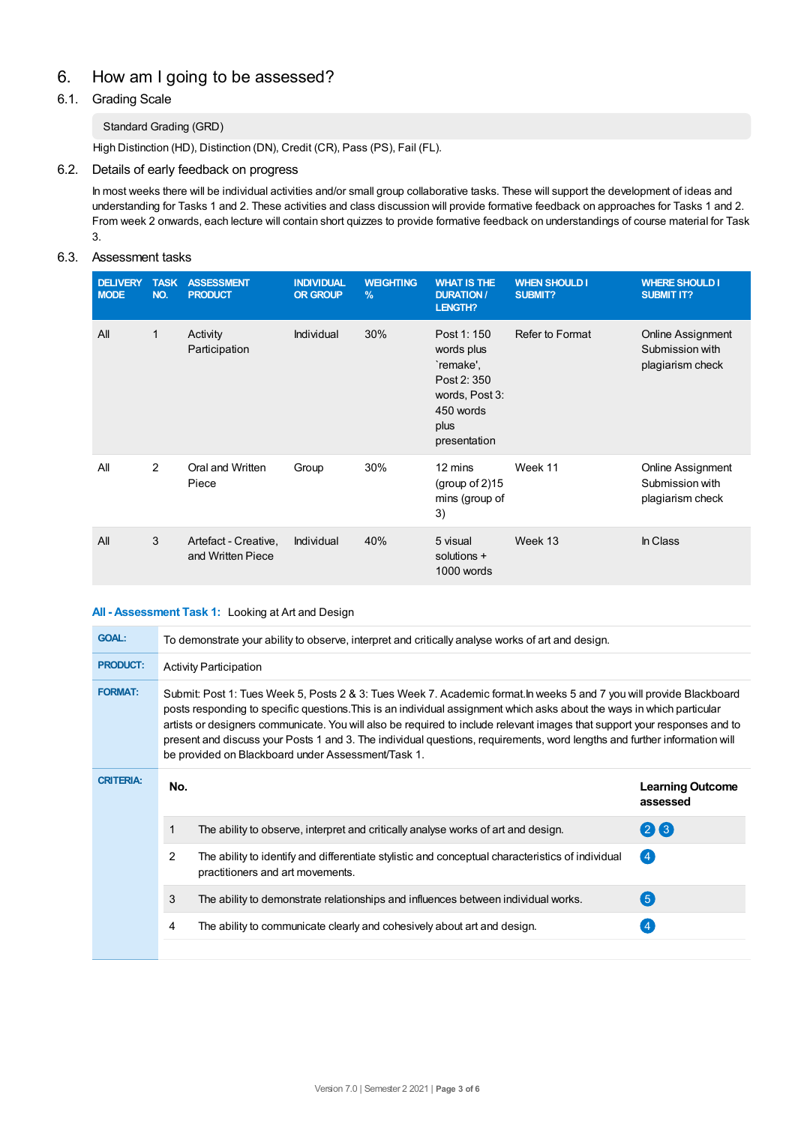# 6. How am Igoing to be assessed?

#### 6.1. Grading Scale

#### Standard Grading (GRD)

High Distinction (HD), Distinction (DN), Credit (CR), Pass (PS), Fail (FL).

#### 6.2. Details of early feedback on progress

In most weeks there will be individual activities and/or small group collaborative tasks. These will support the development of ideas and understanding for Tasks 1 and 2. These activities and class discussion will provide formative feedback on approaches for Tasks 1 and 2. From week 2 onwards, each lecture will contain short quizzes to provide formative feedback on understandings of course material for Task 3.

#### 6.3. Assessment tasks

| <b>DELIVERY</b><br><b>MODE</b> | <b>TASK</b><br>NO. | <b>ASSESSMENT</b><br><b>PRODUCT</b>       | <b>INDIVIDUAL</b><br><b>OR GROUP</b> | <b>WEIGHTING</b><br>$\frac{9}{6}$ | <b>WHAT IS THE</b><br><b>DURATION /</b><br>LENGTH?                                                          | <b>WHEN SHOULD I</b><br>SUBMIT? | <b>WHERE SHOULD I</b><br><b>SUBMIT IT?</b>               |
|--------------------------------|--------------------|-------------------------------------------|--------------------------------------|-----------------------------------|-------------------------------------------------------------------------------------------------------------|---------------------------------|----------------------------------------------------------|
| All                            | 1                  | Activity<br>Participation                 | Individual                           | 30%                               | Post 1: 150<br>words plus<br>`remake'.<br>Post 2:350<br>words, Post 3:<br>450 words<br>plus<br>presentation | <b>Refer to Format</b>          | Online Assignment<br>Submission with<br>plagiarism check |
| All                            | 2                  | Oral and Written<br>Piece                 | Group                                | 30%                               | 12 mins<br>(group of $2$ )15<br>mins (group of<br>3)                                                        | Week 11                         | Online Assignment<br>Submission with<br>plagiarism check |
| All                            | 3                  | Artefact - Creative,<br>and Written Piece | Individual                           | 40%                               | 5 visual<br>solutions +<br>1000 words                                                                       | Week 13                         | In Class                                                 |

#### **All - Assessment Task 1:** Looking at Art and Design

| <b>GOAL:</b>     | To demonstrate your ability to observe, interpret and critically analyse works of art and design.                                                                                                                                                                                                                                                                                                                                                                                                                                                              |                                                                                                                                      |                                     |  |  |
|------------------|----------------------------------------------------------------------------------------------------------------------------------------------------------------------------------------------------------------------------------------------------------------------------------------------------------------------------------------------------------------------------------------------------------------------------------------------------------------------------------------------------------------------------------------------------------------|--------------------------------------------------------------------------------------------------------------------------------------|-------------------------------------|--|--|
| <b>PRODUCT:</b>  | <b>Activity Participation</b>                                                                                                                                                                                                                                                                                                                                                                                                                                                                                                                                  |                                                                                                                                      |                                     |  |  |
| <b>FORMAT:</b>   | Submit: Post 1: Tues Week 5, Posts 2 & 3: Tues Week 7. Academic format. In weeks 5 and 7 you will provide Blackboard<br>posts responding to specific questions. This is an individual assignment which asks about the ways in which particular<br>artists or designers communicate. You will also be required to include relevant images that support your responses and to<br>present and discuss your Posts 1 and 3. The individual questions, requirements, word lengths and further information will<br>be provided on Blackboard under Assessment/Task 1. |                                                                                                                                      |                                     |  |  |
| <b>CRITERIA:</b> | No.                                                                                                                                                                                                                                                                                                                                                                                                                                                                                                                                                            |                                                                                                                                      | <b>Learning Outcome</b><br>assessed |  |  |
|                  |                                                                                                                                                                                                                                                                                                                                                                                                                                                                                                                                                                | The ability to observe, interpret and critically analyse works of art and design.                                                    | $(2)$ (3)                           |  |  |
|                  | 2                                                                                                                                                                                                                                                                                                                                                                                                                                                                                                                                                              | The ability to identify and differentiate stylistic and conceptual characteristics of individual<br>practitioners and art movements. | $\left( 4 \right)$                  |  |  |
|                  | 3                                                                                                                                                                                                                                                                                                                                                                                                                                                                                                                                                              | The ability to demonstrate relationships and influences between individual works.                                                    | (5)                                 |  |  |
|                  | 4                                                                                                                                                                                                                                                                                                                                                                                                                                                                                                                                                              | The ability to communicate clearly and cohesively about art and design.                                                              |                                     |  |  |
|                  |                                                                                                                                                                                                                                                                                                                                                                                                                                                                                                                                                                |                                                                                                                                      |                                     |  |  |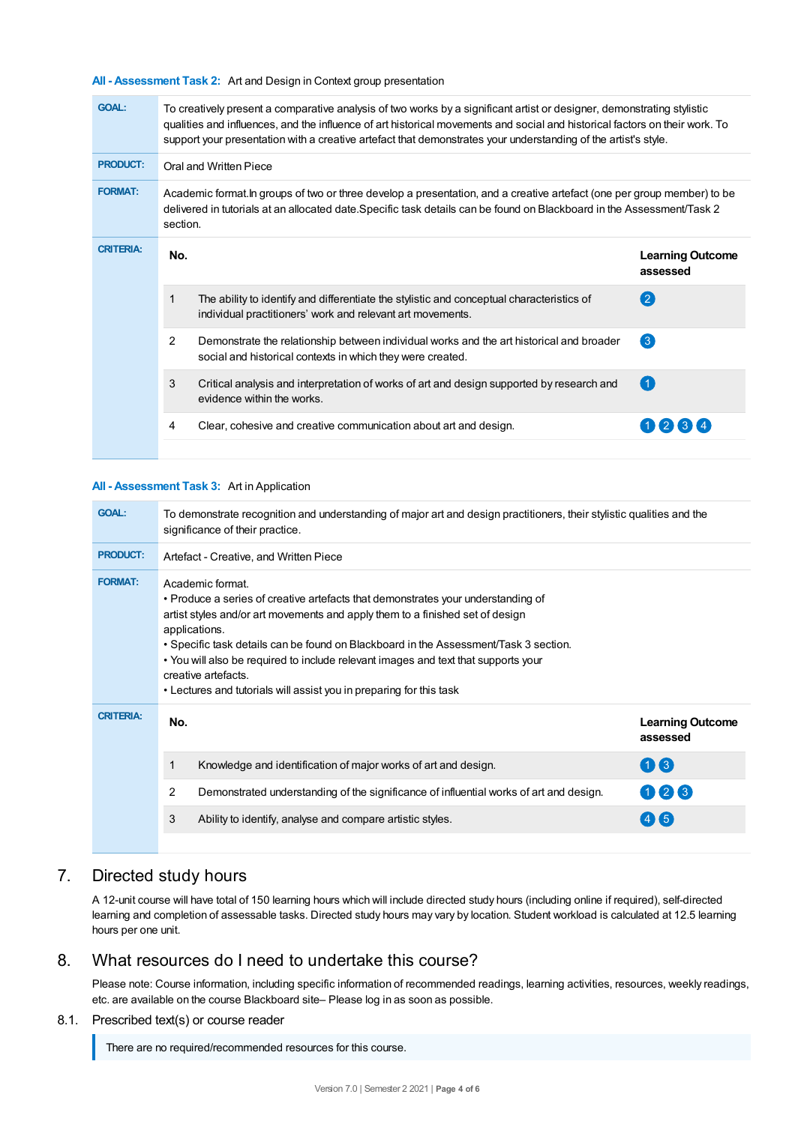**All - Assessment Task 2:** Art and Design in Context group presentation

| <b>GOAL:</b>     | To creatively present a comparative analysis of two works by a significant artist or designer, demonstrating stylistic<br>qualities and influences, and the influence of art historical movements and social and historical factors on their work. To<br>support your presentation with a creative artefact that demonstrates your understanding of the artist's style. |                                                                                                                                                         |                                     |  |  |  |
|------------------|-------------------------------------------------------------------------------------------------------------------------------------------------------------------------------------------------------------------------------------------------------------------------------------------------------------------------------------------------------------------------|---------------------------------------------------------------------------------------------------------------------------------------------------------|-------------------------------------|--|--|--|
| <b>PRODUCT:</b>  | Oral and Written Piece                                                                                                                                                                                                                                                                                                                                                  |                                                                                                                                                         |                                     |  |  |  |
| <b>FORMAT:</b>   | Academic format in groups of two or three develop a presentation, and a creative artefact (one per group member) to be<br>delivered in tutorials at an allocated date.Specific task details can be found on Blackboard in the Assessment/Task 2<br>section.                                                                                                             |                                                                                                                                                         |                                     |  |  |  |
| <b>CRITERIA:</b> | No.                                                                                                                                                                                                                                                                                                                                                                     |                                                                                                                                                         | <b>Learning Outcome</b><br>assessed |  |  |  |
|                  | 1                                                                                                                                                                                                                                                                                                                                                                       | The ability to identify and differentiate the stylistic and conceptual characteristics of<br>individual practitioners' work and relevant art movements. | $\left( 2\right)$                   |  |  |  |
|                  | 2                                                                                                                                                                                                                                                                                                                                                                       | Demonstrate the relationship between individual works and the art historical and broader<br>social and historical contexts in which they were created.  | $\left(3\right)$                    |  |  |  |
|                  | 3                                                                                                                                                                                                                                                                                                                                                                       | Critical analysis and interpretation of works of art and design supported by research and<br>evidence within the works.                                 | $\left( 1 \right)$                  |  |  |  |
|                  | 4                                                                                                                                                                                                                                                                                                                                                                       | Clear, cohesive and creative communication about art and design.                                                                                        |                                     |  |  |  |
|                  |                                                                                                                                                                                                                                                                                                                                                                         |                                                                                                                                                         |                                     |  |  |  |

#### **All - Assessment Task 3:** Art in Application

| <b>GOAL:</b>     | To demonstrate recognition and understanding of major art and design practitioners, their stylistic qualities and the<br>significance of their practice.                                                                                                                                                                                                                                                                                                                           |                                     |  |  |
|------------------|------------------------------------------------------------------------------------------------------------------------------------------------------------------------------------------------------------------------------------------------------------------------------------------------------------------------------------------------------------------------------------------------------------------------------------------------------------------------------------|-------------------------------------|--|--|
| <b>PRODUCT:</b>  | Artefact - Creative, and Written Piece                                                                                                                                                                                                                                                                                                                                                                                                                                             |                                     |  |  |
| <b>FORMAT:</b>   | Academic format.<br>• Produce a series of creative artefacts that demonstrates your understanding of<br>artist styles and/or art movements and apply them to a finished set of design<br>applications.<br>• Specific task details can be found on Blackboard in the Assessment/Task 3 section.<br>• You will also be required to include relevant images and text that supports your<br>creative artefacts.<br>• Lectures and tutorials will assist you in preparing for this task |                                     |  |  |
| <b>CRITERIA:</b> | No.                                                                                                                                                                                                                                                                                                                                                                                                                                                                                | <b>Learning Outcome</b><br>assessed |  |  |
|                  | Knowledge and identification of major works of art and design.                                                                                                                                                                                                                                                                                                                                                                                                                     | 08                                  |  |  |
|                  | 2<br>Demonstrated understanding of the significance of influential works of art and design.                                                                                                                                                                                                                                                                                                                                                                                        | 123                                 |  |  |
|                  | 3<br>Ability to identify, analyse and compare artistic styles.                                                                                                                                                                                                                                                                                                                                                                                                                     | $(4\mathbf{I}5)$                    |  |  |
|                  |                                                                                                                                                                                                                                                                                                                                                                                                                                                                                    |                                     |  |  |

# 7. Directed study hours

A 12-unit course will have total of 150 learning hours which will include directed study hours (including online if required), self-directed learning and completion of assessable tasks. Directed study hours may vary by location. Student workload is calculated at 12.5 learning hours per one unit.

## 8. What resources do I need to undertake this course?

Please note: Course information, including specific information of recommended readings, learning activities, resources, weekly readings, etc. are available on the course Blackboard site– Please log in as soon as possible.

#### 8.1. Prescribed text(s) or course reader

There are no required/recommended resources for this course.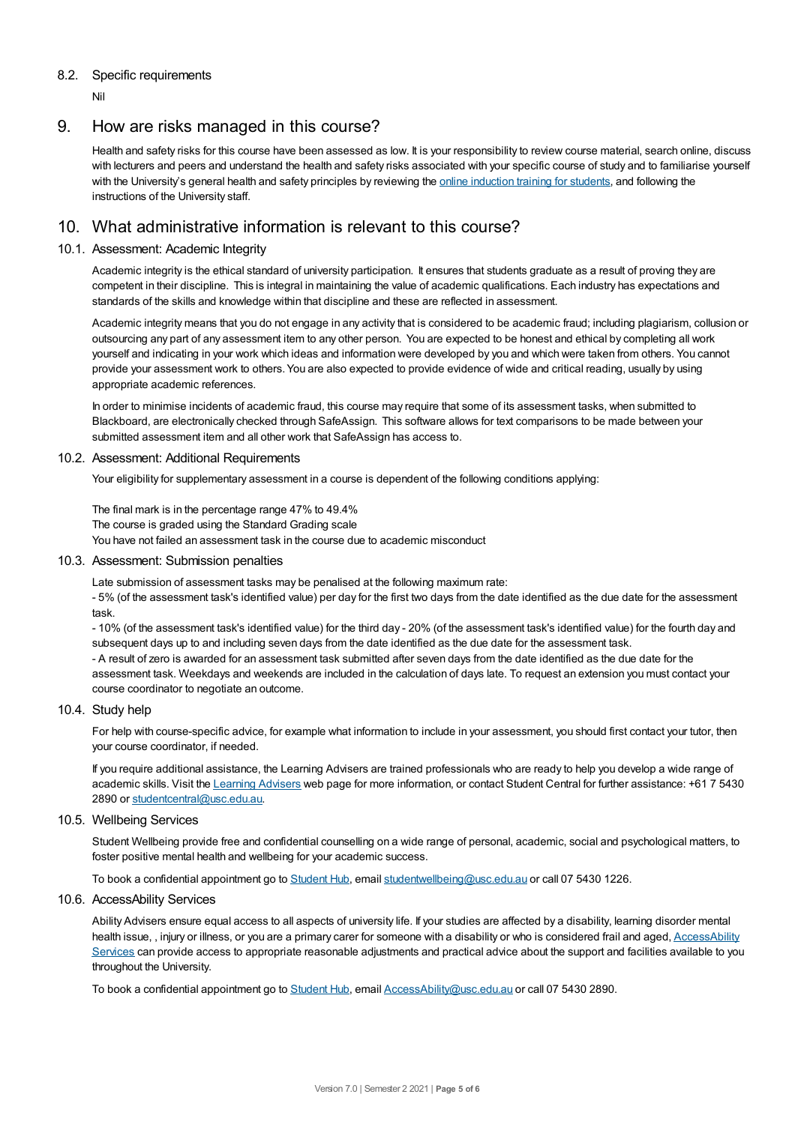#### 8.2. Specific requirements

Nil

# 9. How are risks managed in this course?

Health and safety risks for this course have been assessed as low. It is your responsibility to review course material, search online, discuss with lecturers and peers and understand the health and safety risks associated with your specific course of study and to familiarise yourself with the University's general health and safety principles by reviewing the online [induction](https://online.usc.edu.au/webapps/blackboard/content/listContentEditable.jsp?content_id=_632657_1&course_id=_14432_1) training for students, and following the instructions of the University staff.

# 10. What administrative information is relevant to this course?

#### 10.1. Assessment: Academic Integrity

Academic integrity is the ethical standard of university participation. It ensures that students graduate as a result of proving they are competent in their discipline. This is integral in maintaining the value of academic qualifications. Each industry has expectations and standards of the skills and knowledge within that discipline and these are reflected in assessment.

Academic integrity means that you do not engage in any activity that is considered to be academic fraud; including plagiarism, collusion or outsourcing any part of any assessment item to any other person. You are expected to be honest and ethical by completing all work yourself and indicating in your work which ideas and information were developed by you and which were taken from others. You cannot provide your assessment work to others.You are also expected to provide evidence of wide and critical reading, usually by using appropriate academic references.

In order to minimise incidents of academic fraud, this course may require that some of its assessment tasks, when submitted to Blackboard, are electronically checked through SafeAssign. This software allows for text comparisons to be made between your submitted assessment item and all other work that SafeAssign has access to.

#### 10.2. Assessment: Additional Requirements

Your eligibility for supplementary assessment in a course is dependent of the following conditions applying:

The final mark is in the percentage range 47% to 49.4% The course is graded using the Standard Grading scale

You have not failed an assessment task in the course due to academic misconduct

#### 10.3. Assessment: Submission penalties

Late submission of assessment tasks may be penalised at the following maximum rate:

- 5% (of the assessment task's identified value) per day for the first two days from the date identified as the due date for the assessment task.

- 10% (of the assessment task's identified value) for the third day - 20% (of the assessment task's identified value) for the fourth day and subsequent days up to and including seven days from the date identified as the due date for the assessment task.

- A result of zero is awarded for an assessment task submitted after seven days from the date identified as the due date for the assessment task. Weekdays and weekends are included in the calculation of days late. To request an extension you must contact your course coordinator to negotiate an outcome.

#### 10.4. Study help

For help with course-specific advice, for example what information to include in your assessment, you should first contact your tutor, then your course coordinator, if needed.

If you require additional assistance, the Learning Advisers are trained professionals who are ready to help you develop a wide range of academic skills. Visit the Learning [Advisers](https://www.usc.edu.au/current-students/student-support/academic-and-study-support/learning-advisers) web page for more information, or contact Student Central for further assistance: +61 7 5430 2890 or [studentcentral@usc.edu.au](mailto:studentcentral@usc.edu.au).

#### 10.5. Wellbeing Services

Student Wellbeing provide free and confidential counselling on a wide range of personal, academic, social and psychological matters, to foster positive mental health and wellbeing for your academic success.

To book a confidential appointment go to [Student](https://studenthub.usc.edu.au/) Hub, email [studentwellbeing@usc.edu.au](mailto:studentwellbeing@usc.edu.au) or call 07 5430 1226.

#### 10.6. AccessAbility Services

Ability Advisers ensure equal access to all aspects of university life. If your studies are affected by a disability, learning disorder mental health issue, , injury or illness, or you are a primary carer for someone with a disability or who is considered frail and aged, [AccessAbility](https://www.usc.edu.au/learn/student-support/accessability-services/documentation-requirements) Services can provide access to appropriate reasonable adjustments and practical advice about the support and facilities available to you throughout the University.

To book a confidential appointment go to [Student](https://studenthub.usc.edu.au/) Hub, email [AccessAbility@usc.edu.au](mailto:AccessAbility@usc.edu.au) or call 07 5430 2890.